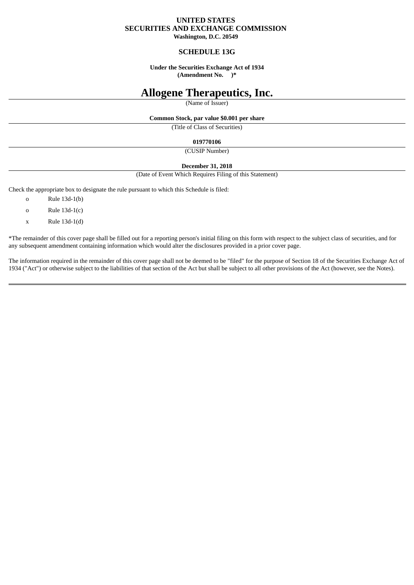## **UNITED STATES SECURITIES AND EXCHANGE COMMISSION**

**Washington, D.C. 20549**

## **SCHEDULE 13G**

#### **Under the Securities Exchange Act of 1934 (Amendment No. )\***

# **Allogene Therapeutics, Inc.**

(Name of Issuer)

#### **Common Stock, par value \$0.001 per share**

(Title of Class of Securities)

#### **019770106**

(CUSIP Number)

#### **December 31, 2018**

(Date of Event Which Requires Filing of this Statement)

Check the appropriate box to designate the rule pursuant to which this Schedule is filed:

- o Rule 13d-1(b)
- o Rule 13d-1(c)
- x Rule 13d-1(d)

\*The remainder of this cover page shall be filled out for a reporting person's initial filing on this form with respect to the subject class of securities, and for any subsequent amendment containing information which would alter the disclosures provided in a prior cover page.

The information required in the remainder of this cover page shall not be deemed to be "filed" for the purpose of Section 18 of the Securities Exchange Act of 1934 ("Act") or otherwise subject to the liabilities of that section of the Act but shall be subject to all other provisions of the Act (however, see the Notes).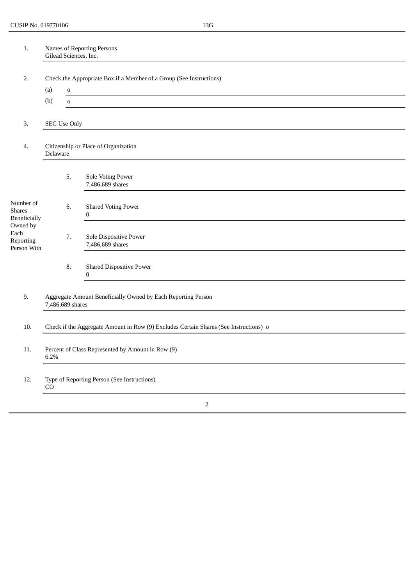| $1.$                                                                                              | Names of Reporting Persons<br>Gilead Sciences, Inc.<br>Check the Appropriate Box if a Member of a Group (See Instructions) |             |                                                 |  |  |  |
|---------------------------------------------------------------------------------------------------|----------------------------------------------------------------------------------------------------------------------------|-------------|-------------------------------------------------|--|--|--|
| 2.                                                                                                |                                                                                                                            |             |                                                 |  |  |  |
|                                                                                                   | (a)<br>$\mathbf 0$                                                                                                         |             |                                                 |  |  |  |
|                                                                                                   | (b)                                                                                                                        | $\mathbf 0$ |                                                 |  |  |  |
| 3.                                                                                                | <b>SEC Use Only</b><br>Citizenship or Place of Organization<br>Delaware                                                    |             |                                                 |  |  |  |
| 4.                                                                                                |                                                                                                                            |             |                                                 |  |  |  |
|                                                                                                   |                                                                                                                            | 5.          | Sole Voting Power<br>7,486,689 shares           |  |  |  |
| Number of<br><b>Shares</b><br><b>Beneficially</b><br>Owned by<br>Each<br>Reporting<br>Person With |                                                                                                                            | 6.          | <b>Shared Voting Power</b><br>$\bf{0}$          |  |  |  |
|                                                                                                   |                                                                                                                            | 7.          | Sole Dispositive Power<br>7,486,689 shares      |  |  |  |
|                                                                                                   |                                                                                                                            | 8.          | <b>Shared Dispositive Power</b><br>$\mathbf{0}$ |  |  |  |
| 9.                                                                                                | Aggregate Amount Beneficially Owned by Each Reporting Person<br>7,486,689 shares                                           |             |                                                 |  |  |  |
| 10.                                                                                               | Check if the Aggregate Amount in Row (9) Excludes Certain Shares (See Instructions) o                                      |             |                                                 |  |  |  |
| 11.                                                                                               | Percent of Class Represented by Amount in Row (9)<br>6.2%                                                                  |             |                                                 |  |  |  |
| 12.                                                                                               | Type of Reporting Person (See Instructions)<br>CO                                                                          |             |                                                 |  |  |  |
|                                                                                                   |                                                                                                                            |             | $\overline{2}$                                  |  |  |  |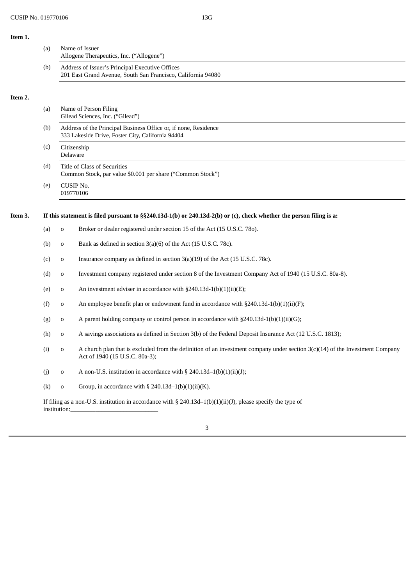**Item 1.**

|         | (a) | Name of Issuer<br>Allogene Therapeutics, Inc. ("Allogene")<br>Address of Issuer's Principal Executive Offices<br>201 East Grand Avenue, South San Francisco, California 94080 |                                                                                                                                                                  |  |  |
|---------|-----|-------------------------------------------------------------------------------------------------------------------------------------------------------------------------------|------------------------------------------------------------------------------------------------------------------------------------------------------------------|--|--|
|         | (b) |                                                                                                                                                                               |                                                                                                                                                                  |  |  |
| Item 2. |     |                                                                                                                                                                               |                                                                                                                                                                  |  |  |
|         | (a) |                                                                                                                                                                               | Name of Person Filing<br>Gilead Sciences, Inc. ("Gilead")                                                                                                        |  |  |
|         | (b) |                                                                                                                                                                               | Address of the Principal Business Office or, if none, Residence<br>333 Lakeside Drive, Foster City, California 94404                                             |  |  |
|         | (c) |                                                                                                                                                                               | Citizenship<br>Delaware                                                                                                                                          |  |  |
|         | (d) |                                                                                                                                                                               | Title of Class of Securities<br>Common Stock, par value \$0.001 per share ("Common Stock")                                                                       |  |  |
|         | (e) | CUSIP No.<br>019770106                                                                                                                                                        |                                                                                                                                                                  |  |  |
| Item 3. |     |                                                                                                                                                                               | If this statement is filed pursuant to $\S$ 240.13d-1(b) or 240.13d-2(b) or (c), check whether the person filing is a:                                           |  |  |
|         | (a) | o                                                                                                                                                                             | Broker or dealer registered under section 15 of the Act (15 U.S.C. 780).                                                                                         |  |  |
|         | (b) | 0                                                                                                                                                                             | Bank as defined in section 3(a)(6) of the Act (15 U.S.C. 78c).                                                                                                   |  |  |
|         | (c) | o                                                                                                                                                                             | Insurance company as defined in section 3(a)(19) of the Act (15 U.S.C. 78c).                                                                                     |  |  |
|         | (d) | 0                                                                                                                                                                             | Investment company registered under section 8 of the Investment Company Act of 1940 (15 U.S.C. 80a-8).                                                           |  |  |
|         | (e) | o                                                                                                                                                                             | An investment adviser in accordance with $\S 240.13d-1(b)(1)(ii)(E);$                                                                                            |  |  |
|         | (f) | o                                                                                                                                                                             | An employee benefit plan or endowment fund in accordance with $\S 240.13d-1(b)(1)(ii)(F);$                                                                       |  |  |
|         | (g) | o                                                                                                                                                                             | A parent holding company or control person in accordance with §240.13d-1(b)(1)(ii)(G);                                                                           |  |  |
|         | (h) | o                                                                                                                                                                             | A savings associations as defined in Section 3(b) of the Federal Deposit Insurance Act (12 U.S.C. 1813);                                                         |  |  |
|         | (i) | o                                                                                                                                                                             | A church plan that is excluded from the definition of an investment company under section $3(c)(14)$ of the Investment Company<br>Act of 1940 (15 U.S.C. 80a-3); |  |  |
|         | (j) | o                                                                                                                                                                             | A non-U.S. institution in accordance with § 240.13d-1(b)(1)(ii)(J);                                                                                              |  |  |
|         | (k) | o                                                                                                                                                                             | Group, in accordance with § 240.13d-1(b)(1)(ii)(K).                                                                                                              |  |  |
|         |     | If filing as a non-U.S. institution in accordance with § 240.13d-1(b)(1)(ii)(J), please specify the type of<br>institution:                                                   |                                                                                                                                                                  |  |  |

3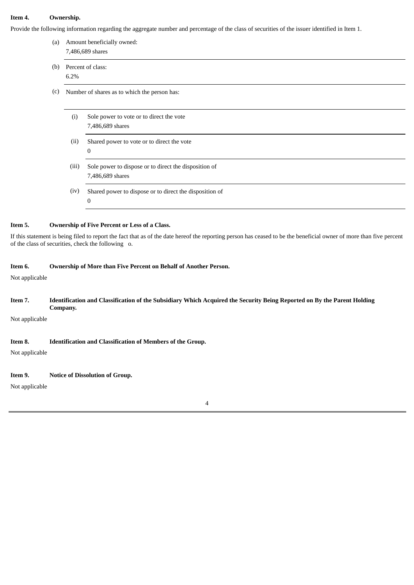#### **Item 4. Ownership.**

Provide the follo

| (a) | Provide the following information regarding the aggregate number and percentage of the class of securities of the issuer identified in Item 1.<br>Amount beneficially owned:<br>7,486,689 shares |                                                         |  |  |  |
|-----|--------------------------------------------------------------------------------------------------------------------------------------------------------------------------------------------------|---------------------------------------------------------|--|--|--|
| (b) | Percent of class:                                                                                                                                                                                |                                                         |  |  |  |
|     | 6.2%                                                                                                                                                                                             |                                                         |  |  |  |
| (c) | Number of shares as to which the person has:                                                                                                                                                     |                                                         |  |  |  |
|     |                                                                                                                                                                                                  |                                                         |  |  |  |
|     | (i)                                                                                                                                                                                              | Sole power to vote or to direct the vote                |  |  |  |
|     |                                                                                                                                                                                                  | 7,486,689 shares                                        |  |  |  |
|     | (ii)                                                                                                                                                                                             | Shared power to vote or to direct the vote              |  |  |  |
|     |                                                                                                                                                                                                  | 0                                                       |  |  |  |
|     | (iii)                                                                                                                                                                                            | Sole power to dispose or to direct the disposition of   |  |  |  |
|     |                                                                                                                                                                                                  | 7,486,689 shares                                        |  |  |  |
|     | (iv)                                                                                                                                                                                             | Shared power to dispose or to direct the disposition of |  |  |  |
|     |                                                                                                                                                                                                  | 0                                                       |  |  |  |

If this statement is being filed to report the fact that as of the date hereof the reporting person has ceased to be the beneficial owner of more than five percent of the class of securities, check the following o.

## **Item 6. Ownership of More than Five Percent on Behalf of Another Person.**

Not applicable

### Item 7. Identification and Classification of the Subsidiary Which Acquired the Security Being Reported on By the Parent Holding **Company.**

Not applicable

## **Item 8. Identification and Classification of Members of the Group.**

Not applicable

## **Item 9. Notice of Dissolution of Group.**

Not applicable